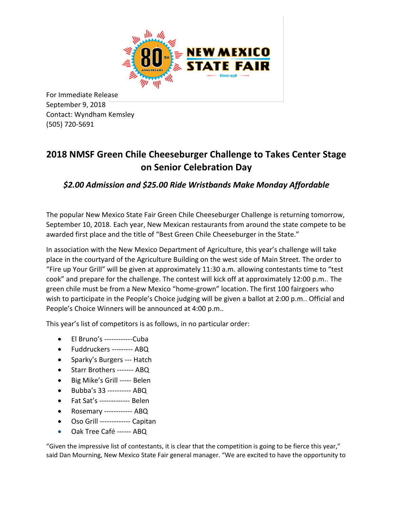

For Immediate Release September 9, 2018 Contact: Wyndham Kemsley (505) 720-5691

## **2018 NMSF Green Chile Cheeseburger Challenge to Takes Center Stage on Senior Celebration Day**

*\$2.00 Admission and \$25.00 Ride Wristbands Make Monday Affordable*

The popular New Mexico State Fair Green Chile Cheeseburger Challenge is returning tomorrow, September 10, 2018. Each year, New Mexican restaurants from around the state compete to be awarded first place and the title of "Best Green Chile Cheeseburger in the State."

In association with the New Mexico Department of Agriculture, this year's challenge will take place in the courtyard of the Agriculture Building on the west side of Main Street. The order to "Fire up Your Grill" will be given at approximately 11:30 a.m. allowing contestants time to "test cook" and prepare for the challenge. The contest will kick off at approximately 12:00 p.m.. The green chile must be from a New Mexico "home-grown" location. The first 100 fairgoers who wish to participate in the People's Choice judging will be given a ballot at 2:00 p.m.. Official and People's Choice Winners will be announced at 4:00 p.m..

This year's list of competitors is as follows, in no particular order:

- El Bruno's ------------Cuba
- Fuddruckers --------- ABQ
- Sparky's Burgers --- Hatch
- Starr Brothers ------- ABQ
- Big Mike's Grill ----- Belen
- Bubba's 33 ---------- ABQ
- Fat Sat's ------------- Belen
- Rosemary ------------ ABQ
- Oso Grill ------------- Capitan
- Oak Tree Café ------ ABQ

"Given the impressive list of contestants, it is clear that the competition is going to be fierce this year," said Dan Mourning, New Mexico State Fair general manager. "We are excited to have the opportunity to